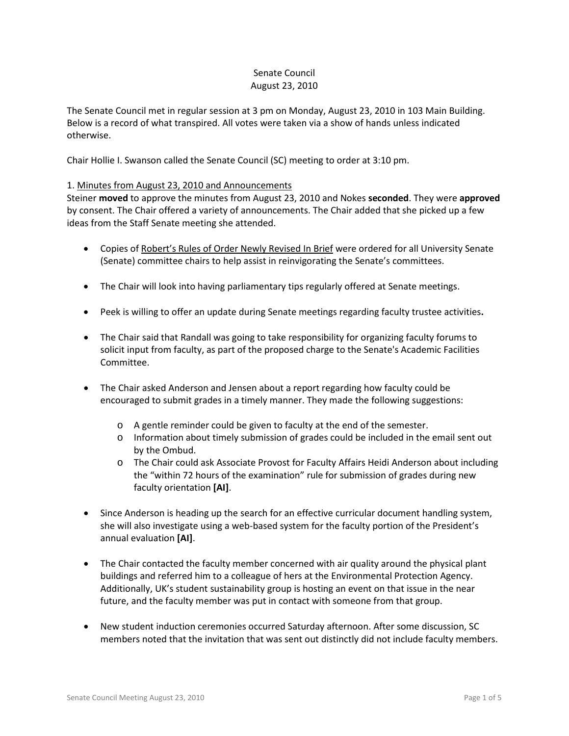## Senate Council August 23, 2010

The Senate Council met in regular session at 3 pm on Monday, August 23, 2010 in 103 Main Building. Below is a record of what transpired. All votes were taken via a show of hands unless indicated otherwise.

Chair Hollie I. Swanson called the Senate Council (SC) meeting to order at 3:10 pm.

### 1. Minutes from August 23, 2010 and Announcements

Steiner **moved** to approve the minutes from August 23, 2010 and Nokes **seconded**. They were **approved** by consent. The Chair offered a variety of announcements. The Chair added that she picked up a few ideas from the Staff Senate meeting she attended.

- Copies of Robert's Rules of Order Newly Revised In Brief were ordered for all University Senate (Senate) committee chairs to help assist in reinvigorating the Senate's committees.
- The Chair will look into having parliamentary tips regularly offered at Senate meetings.
- Peek is willing to offer an update during Senate meetings regarding faculty trustee activities**.**
- The Chair said that Randall was going to take responsibility for organizing faculty forums to solicit input from faculty, as part of the proposed charge to the Senate's Academic Facilities Committee.
- The Chair asked Anderson and Jensen about a report regarding how faculty could be encouraged to submit grades in a timely manner. They made the following suggestions:
	- o A gentle reminder could be given to faculty at the end of the semester.
	- o Information about timely submission of grades could be included in the email sent out by the Ombud.
	- o The Chair could ask Associate Provost for Faculty Affairs Heidi Anderson about including the "within 72 hours of the examination" rule for submission of grades during new faculty orientation **[AI]**.
- Since Anderson is heading up the search for an effective curricular document handling system, she will also investigate using a web-based system for the faculty portion of the President's annual evaluation **[AI]**.
- The Chair contacted the faculty member concerned with air quality around the physical plant buildings and referred him to a colleague of hers at the Environmental Protection Agency. Additionally, UK's student sustainability group is hosting an event on that issue in the near future, and the faculty member was put in contact with someone from that group.
- New student induction ceremonies occurred Saturday afternoon. After some discussion, SC members noted that the invitation that was sent out distinctly did not include faculty members.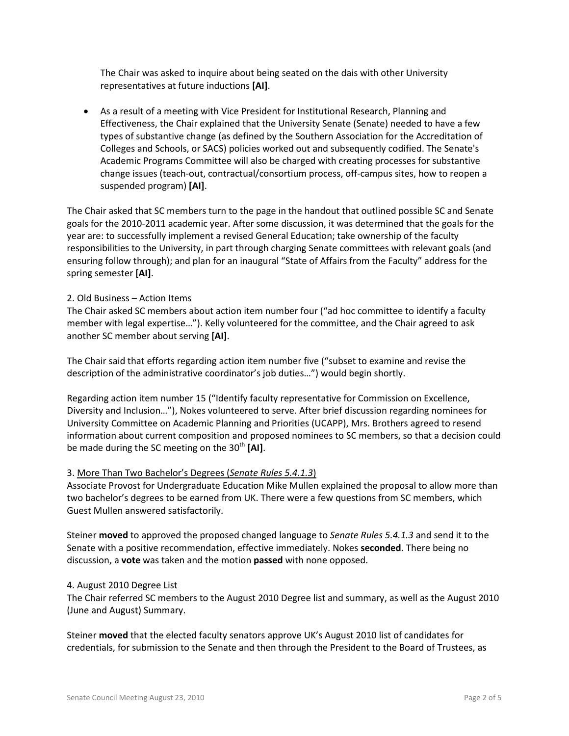The Chair was asked to inquire about being seated on the dais with other University representatives at future inductions **[AI]**.

• As a result of a meeting with Vice President for Institutional Research, Planning and Effectiveness, the Chair explained that the University Senate (Senate) needed to have a few types of substantive change (as defined by the Southern Association for the Accreditation of Colleges and Schools, or SACS) policies worked out and subsequently codified. The Senate's Academic Programs Committee will also be charged with creating processes for substantive change issues (teach-out, contractual/consortium process, off-campus sites, how to reopen a suspended program) **[AI]**.

The Chair asked that SC members turn to the page in the handout that outlined possible SC and Senate goals for the 2010-2011 academic year. After some discussion, it was determined that the goals for the year are: to successfully implement a revised General Education; take ownership of the faculty responsibilities to the University, in part through charging Senate committees with relevant goals (and ensuring follow through); and plan for an inaugural "State of Affairs from the Faculty" address for the spring semester **[AI]**.

# 2. Old Business – Action Items

The Chair asked SC members about action item number four ("ad hoc committee to identify a faculty member with legal expertise…"). Kelly volunteered for the committee, and the Chair agreed to ask another SC member about serving **[AI]**.

The Chair said that efforts regarding action item number five ("subset to examine and revise the description of the administrative coordinator's job duties…") would begin shortly.

Regarding action item number 15 ("Identify faculty representative for Commission on Excellence, Diversity and Inclusion…"), Nokes volunteered to serve. After brief discussion regarding nominees for University Committee on Academic Planning and Priorities (UCAPP), Mrs. Brothers agreed to resend information about current composition and proposed nominees to SC members, so that a decision could be made during the SC meeting on the 30<sup>th</sup> [AI].

#### 3. More Than Two Bachelor's Degrees (*Senate Rules 5.4.1.3*)

Associate Provost for Undergraduate Education Mike Mullen explained the proposal to allow more than two bachelor's degrees to be earned from UK. There were a few questions from SC members, which Guest Mullen answered satisfactorily.

Steiner **moved** to approved the proposed changed language to *Senate Rules 5.4.1.3* and send it to the Senate with a positive recommendation, effective immediately. Nokes **seconded**. There being no discussion, a **vote** was taken and the motion **passed** with none opposed.

#### 4. August 2010 Degree List

The Chair referred SC members to the August 2010 Degree list and summary, as well as the August 2010 (June and August) Summary.

Steiner **moved** that the elected faculty senators approve UK's August 2010 list of candidates for credentials, for submission to the Senate and then through the President to the Board of Trustees, as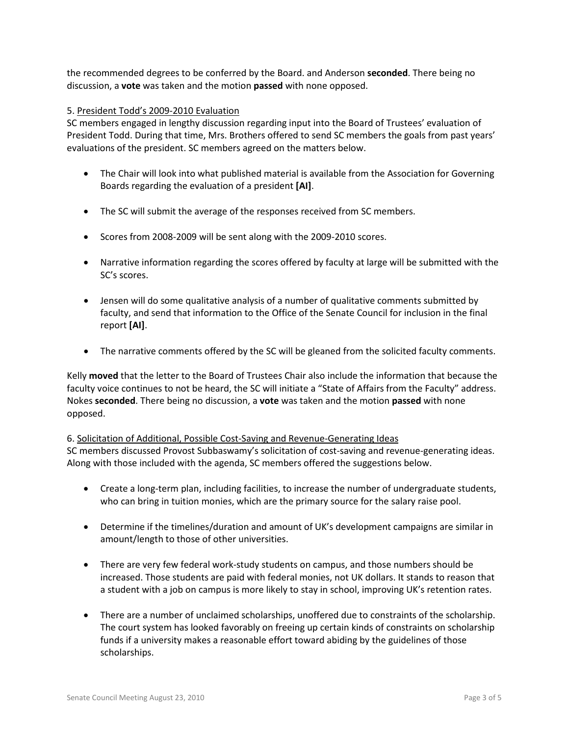the recommended degrees to be conferred by the Board. and Anderson **seconded**. There being no discussion, a **vote** was taken and the motion **passed** with none opposed.

### 5. President Todd's 2009-2010 Evaluation

SC members engaged in lengthy discussion regarding input into the Board of Trustees' evaluation of President Todd. During that time, Mrs. Brothers offered to send SC members the goals from past years' evaluations of the president. SC members agreed on the matters below.

- The Chair will look into what published material is available from the Association for Governing Boards regarding the evaluation of a president **[AI]**.
- The SC will submit the average of the responses received from SC members.
- Scores from 2008-2009 will be sent along with the 2009-2010 scores.
- Narrative information regarding the scores offered by faculty at large will be submitted with the SC's scores.
- Jensen will do some qualitative analysis of a number of qualitative comments submitted by faculty, and send that information to the Office of the Senate Council for inclusion in the final report **[AI]**.
- The narrative comments offered by the SC will be gleaned from the solicited faculty comments.

Kelly **moved** that the letter to the Board of Trustees Chair also include the information that because the faculty voice continues to not be heard, the SC will initiate a "State of Affairs from the Faculty" address. Nokes **seconded**. There being no discussion, a **vote** was taken and the motion **passed** with none opposed.

# 6. Solicitation of Additional, Possible Cost-Saving and Revenue-Generating Ideas

SC members discussed Provost Subbaswamy's solicitation of cost-saving and revenue-generating ideas. Along with those included with the agenda, SC members offered the suggestions below.

- Create a long-term plan, including facilities, to increase the number of undergraduate students, who can bring in tuition monies, which are the primary source for the salary raise pool.
- Determine if the timelines/duration and amount of UK's development campaigns are similar in amount/length to those of other universities.
- There are very few federal work-study students on campus, and those numbers should be increased. Those students are paid with federal monies, not UK dollars. It stands to reason that a student with a job on campus is more likely to stay in school, improving UK's retention rates.
- There are a number of unclaimed scholarships, unoffered due to constraints of the scholarship. The court system has looked favorably on freeing up certain kinds of constraints on scholarship funds if a university makes a reasonable effort toward abiding by the guidelines of those scholarships.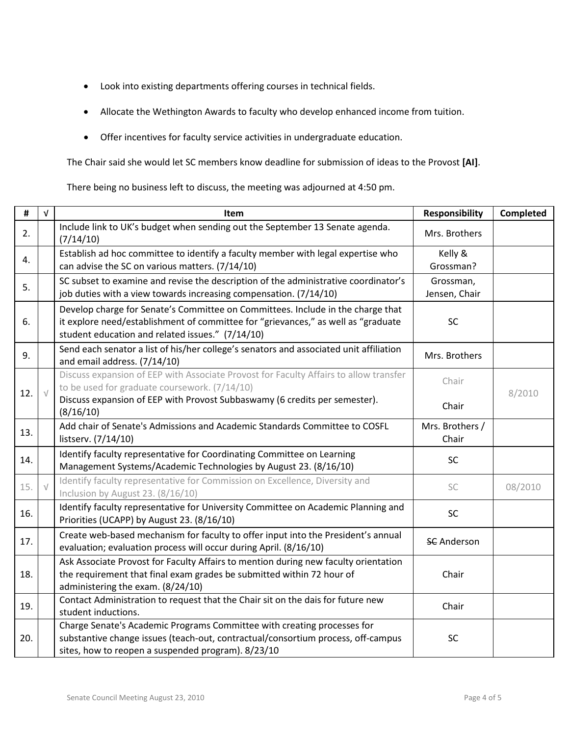- Look into existing departments offering courses in technical fields.
- Allocate the Wethington Awards to faculty who develop enhanced income from tuition.
- Offer incentives for faculty service activities in undergraduate education.

The Chair said she would let SC members know deadline for submission of ideas to the Provost **[AI]**.

There being no business left to discuss, the meeting was adjourned at 4:50 pm.

| $\#$ | $\sqrt{ }$ | <b>Item</b>                                                                                                                                                                                                              | <b>Responsibility</b>      | <b>Completed</b> |
|------|------------|--------------------------------------------------------------------------------------------------------------------------------------------------------------------------------------------------------------------------|----------------------------|------------------|
| 2.   |            | Include link to UK's budget when sending out the September 13 Senate agenda.<br>(7/14/10)                                                                                                                                | Mrs. Brothers              |                  |
| 4.   |            | Establish ad hoc committee to identify a faculty member with legal expertise who<br>can advise the SC on various matters. (7/14/10)                                                                                      | Kelly &<br>Grossman?       |                  |
| 5.   |            | SC subset to examine and revise the description of the administrative coordinator's<br>job duties with a view towards increasing compensation. (7/14/10)                                                                 | Grossman,<br>Jensen, Chair |                  |
| 6.   |            | Develop charge for Senate's Committee on Committees. Include in the charge that<br>it explore need/establishment of committee for "grievances," as well as "graduate<br>student education and related issues." (7/14/10) | <b>SC</b>                  |                  |
| 9.   |            | Send each senator a list of his/her college's senators and associated unit affiliation<br>and email address. (7/14/10)                                                                                                   | Mrs. Brothers              |                  |
| 12.  | $\sqrt{ }$ | Discuss expansion of EEP with Associate Provost for Faculty Affairs to allow transfer<br>to be used for graduate coursework. (7/14/10)                                                                                   | Chair                      | 8/2010           |
|      |            | Discuss expansion of EEP with Provost Subbaswamy (6 credits per semester).<br>(8/16/10)                                                                                                                                  | Chair                      |                  |
| 13.  |            | Add chair of Senate's Admissions and Academic Standards Committee to COSFL<br>listserv. (7/14/10)                                                                                                                        | Mrs. Brothers /<br>Chair   |                  |
| 14.  |            | Identify faculty representative for Coordinating Committee on Learning<br>Management Systems/Academic Technologies by August 23. (8/16/10)                                                                               | SC                         |                  |
| 15.  | $\sqrt{}$  | Identify faculty representative for Commission on Excellence, Diversity and<br>Inclusion by August 23. (8/16/10)                                                                                                         | SC                         | 08/2010          |
| 16.  |            | Identify faculty representative for University Committee on Academic Planning and<br>Priorities (UCAPP) by August 23. (8/16/10)                                                                                          | SC                         |                  |
| 17.  |            | Create web-based mechanism for faculty to offer input into the President's annual<br>evaluation; evaluation process will occur during April. (8/16/10)                                                                   | <b>SC</b> Anderson         |                  |
| 18.  |            | Ask Associate Provost for Faculty Affairs to mention during new faculty orientation<br>the requirement that final exam grades be submitted within 72 hour of<br>administering the exam. (8/24/10)                        | Chair                      |                  |
| 19.  |            | Contact Administration to request that the Chair sit on the dais for future new<br>student inductions.                                                                                                                   | Chair                      |                  |
| 20.  |            | Charge Senate's Academic Programs Committee with creating processes for<br>substantive change issues (teach-out, contractual/consortium process, off-campus<br>sites, how to reopen a suspended program). 8/23/10        | <b>SC</b>                  |                  |